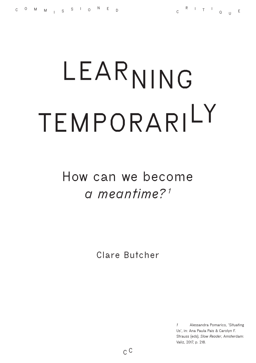## **LEARNING TEMPORARILY**

## **How can we become**  *a meantime? <sup>1</sup>*

**Clare Butcher**

*1* **Alessandra Pomarico, 'Situating Us', in: Ana Paula Pais & Carolyn F. Strauss (eds),** *Slow Reader***, Amsterdam: Valiz, 2017, p. 218.**

**C C**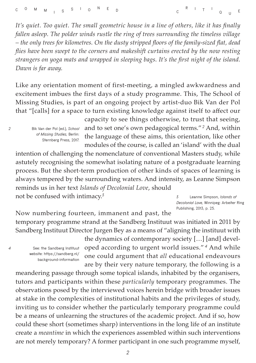*It's quiet. Too quiet. The small geometric house in a line of others, like it has finally fallen asleep. The polder winds rustle the ring of trees surrounding the timeless village – the only trees for kilometres. On the dusty stripped floors of the family-sized flat, dead flies have been swept to the corners and makeshift curtains erected by the now resting strangers on yoga mats and wrapped in sleeping bags. It's the first night of the island. Dawn is far away.* 

Like any orientation moment of first-meeting, a mingled awkwardness and excitement imbues the first days of a study programme. This, The School of Missing Studies, is part of an ongoing project by artist-duo Bik Van der Pol that "[calls] for a space to turn existing knowledge against itself to affect our

*2* **Bik Van der Pol (ed.),** *School of Missing Studies,* **Berlin: Sternberg Press, 2017.**

capacity to see things otherwise, to trust that seeing, and to set one's own pedagogical terms." *<sup>2</sup>*And, within the language of these aims, this orientation, like other modules of the course, is called an 'island' with the dual

intention of challenging the nomenclature of conventional Masters study, while astutely recognising the somewhat isolating nature of a postgraduate learning process. But the short-term production of other kinds of spaces of learning is always tempered by the surrounding waters. And intensity, as Leanne Simpson reminds us in her text *Islands of Decolonial Love*, should not be confused with intimacy.*<sup>3</sup>*

*3* **Leanne Simpson,** *Islands of Decolonial Love,* **Winnipeg: Arbeiter Ring Publishing, 2013, p. 25.**

Now numbering fourteen, immanent and past, the temporary programme strand at the Sandberg Instituut was initiated in 2011 by Sandberg Instituut Director Jurgen Bey as a means of "aligning the instituut with

*4* **See: the Sandberg Instituut website: [https://sandberg.nl/](https://sandberg.nl/background-information) [background-information](https://sandberg.nl/background-information)**

the dynamics of contemporary society […] [and] developed according to urgent world issues." *<sup>4</sup>* And while one could argument that *all* educational endeavours are by their very nature temporary, the following is a

meandering passage through some topical islands, inhabited by the organisers, tutors and participants within these *particularly* temporary programmes. The observations posed by the interviewed voices herein bridge with broader issues at stake in the complexities of institutional habits and the privileges of study, inviting us to consider whether the particularly temporary programme could be a means of unlearning the structures of the academic project. And if so, how could these short (sometimes sharp) interventions in the long life of an institute create a *meantime* in which the experiences assembled within such interventions are not merely temporary? A former participant in one such programme myself,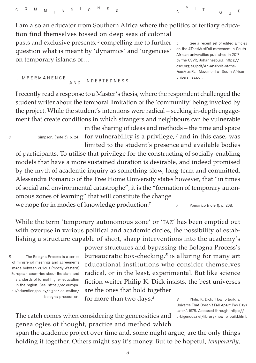**<sup>C</sup> <sup>O</sup> <sup>M</sup> <sup>M</sup> <sup>I</sup> <sup>S</sup> <sup>S</sup> <sup>I</sup> <sup>O</sup> <sup>N</sup> <sup>E</sup> <sup>D</sup>         <sup>C</sup>**

**<sup>R</sup> <sup>I</sup> <sup>T</sup> <sup>I</sup> <sup>Q</sup> <sup>U</sup> <sup>E</sup>**

*5* **See a recent set of edited articles on the #FeesMustFall movement in South African universities published in 2017 by the CSVR, Johannesburg: [https://](https://csvr.org.za/pdf/An-analysis-of-the-FeesMustFall-Movement-at-South-African-universities.pdf)** I am also an educator from Southern Africa where the politics of tertiary education find themselves tossed on deep seas of colonial pasts and exclusive presents, *<sup>5</sup>* compelling me to further question what is meant by 'dynamics' and 'urgencies' on temporary islands of…

**[csvr.org.za/pdf/An-analysis-of-the-](https://csvr.org.za/pdf/An-analysis-of-the-FeesMustFall-Movement-at-South-African-universities.pdf)[FeesMustFall-Movement-at-South-African](https://csvr.org.za/pdf/An-analysis-of-the-FeesMustFall-Movement-at-South-African-universities.pdf)[universities.pdf](https://csvr.org.za/pdf/An-analysis-of-the-FeesMustFall-Movement-at-South-African-universities.pdf).**

## **…IMPERMANENCE AND INDEBTEDNESS**

I recently read a response to a Master's thesis, where the respondent challenged the student writer about the temporal limitation of the 'community' being invoked by the project. While the student's intentions were radical – seeking in-depth engagement that create conditions in which strangers and neighbours can be vulnerable

in the sharing of ideas and methods – the time and space for vulnerability is a privilege, *<sup>6</sup>* and in this case, was *6* **Simpson, (note 3), p. 24.** limited to the student's presence and available bodies

of participants. To utilise that privilege for the constructing of socially-enabling models that have a more sustained duration is desirable, and indeed promised by the myth of academic inquiry as something slow, long-term and committed. Alessandra Pomarico of the Free Home University states however, that "in times of social and environmental catastrophe", it is the "formation of temporary autonomous zones of learning" that will constitute the change *7* **Pomarico (note 1), p. 208.**

we hope for in modes of knowledge production.*<sup>7</sup>*

While the term 'temporary autonomous zone' or 'TAZ' has been emptied out with overuse in various political and academic circles, the possibility of establishing a structure capable of short, sharp interventions into the academy's

*8* **The Bologna Process is a series of ministerial meetings and agreements made between various (mostly Western) European countries about the state and standards of formal higher education in the region. See: [https://ec.europa.](https://ec.europa.eu/education/policy/higher-education/bologna-process_en) [eu/education/policy/higher-education/](https://ec.europa.eu/education/policy/higher-education/bologna-process_en)** power structures and bypassing the Bologna Process's bureaucratic box-checking,*<sup>8</sup>* is alluring for many art educational institutions who consider themselves radical, or in the least, experimental. But like science fiction writer Philip K. Dick insists, the best universes are the ones that hold together

for more than two days.*<sup>9</sup>* **[bologna-process\\_en.](https://ec.europa.eu/education/policy/higher-education/bologna-process_en)** *<sup>9</sup>* **Philip K. Dick, 'How to Build a** 

**Universe That Doesn't Fall Apart Two Days Later.', 1978. Accessed through: [https://](https://urbigenous.net/library/how_to_build.html) [urbigenous.net/library/how\\_to\\_build.html.](https://urbigenous.net/library/how_to_build.html)**

The catch comes when considering the generosities and genealogies of thought, practice and method which

span the academic project over time and, some might argue, are the only things holding it together. Others might say it's money. But to be hopeful, *temporarily*,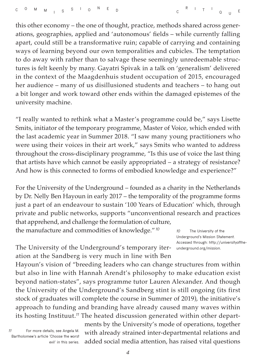this other economy – the one of thought, practice, methods shared across generations, geographies, applied and 'autonomous' fields – while currently falling apart, could still be a transformative ruin; capable of carrying and containing ways of learning beyond our own temporalities and cubicles. The temptation to do away with rather than to salvage these seemingly unredeemable structures is felt keenly by many. Gayatri Spivak in a talk on 'generalism' delivered in the context of the Maagdenhuis student occupation of 2015, encouraged her audience – many of us disillusioned students and teachers – to hang out a bit longer and work toward other ends within the damaged epistemes of the university machine.

"I really wanted to rethink what a Master's programme could be," says Lisette Smits, initiator of the temporary programme, Master of Voice, which ended with the last academic year in Summer 2018. "I saw many young practitioners who were using their voices in their art work," says Smits who wanted to address throughout the cross-disciplinary programme, "Is this use of voice the last thing that artists have which cannot be easily appropriated – a strategy of resistance? And how is this connected to forms of embodied knowledge and experience?"

For the University of the Underground – founded as a charity in the Netherlands by Dr. Nelly Ben Hayoun in early 2017 – the temporality of the programme forms just a part of an endeavour to sustain '100 Years of Education' which, through private and public networks, supports "unconventional research and practices that apprehend, and challenge the formulation of culture,

the manufacture and commodities of knowledge."*<sup>10</sup>*

*10* **The University of the Underground's Mission Statement. Accessed through: [http://universityofthe](http://universityoftheunderground.org/mission)[underground.org/mission.](http://universityoftheunderground.org/mission)**

The University of the Underground's temporary iteration at the Sandberg is very much in line with Ben

Hayoun's vision of "breeding leaders who can change structures from within but also in line with Hannah Arendt's philosophy to make education exist beyond nation-states", says programme tutor Lauren Alexander. And though the University of the Underground's Sandberg stint is still ongoing (its first stock of graduates will complete the course in Summer of 2019), the initiative's approach to funding and branding have already caused many waves within its hosting Instituut.*11* The heated discussion generated within other depart-

*11* **For more details, see Angela M. Bartholomew's article 'Choose the worst evil' in this series.** ments by the University's mode of operations, together with already strained inter-departmental relations and added social media attention, has raised vital questions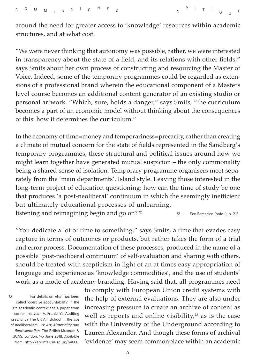around the need for greater access to 'knowledge' resources within academic structures, and at what cost.

"We were never thinking that autonomy was possible, rather, we were interested in transparency about the state of a field, and its relations with other fields," says Smits about her own process of constructing and resourcing the Master of Voice. Indeed, some of the temporary programmes could be regarded as extensions of a professional brand wherein the educational component of a Masters level course becomes an additional content generator of an existing studio or personal artwork. "Which, sure, holds a danger," says Smits, "the curriculum becomes a part of an economic model without thinking about the consequences of this: how it determines the curriculum."

In the economy of time=money and temporariness=precarity, rather than creating a climate of mutual concern for the state of fields represented in the Sandberg's temporary programmes, these structural and political issues around how we might learn together have generated mutual suspicion – the only commonality being a shared sense of isolation. Temporary programme organisers meet separately from the 'main departments'. Island style. Leaving those interested in the long-term project of education questioning: how can the time of study be one that produces 'a post-neoliberal' continuum in which the seemingly inefficient but ultimately educational processes of unlearning, listening and reimagining begin and go on? *<sup>12</sup> 12* **See Pomarico (note 1), p. 212.**

"You dedicate a lot of time to something," says Smits, a time that evades easy capture in terms of outcomes or products, but rather takes the form of a trial and error process. Documentation of these processes, produced in the name of a possible 'post-neoliberal continuum' of self-evaluation and sharing with others, should be treated with scepticism in light of an at times easy appropriation of language and experience as 'knowledge commodities', and the use of students' work as a mode of academy branding. Having said that, all programmes need

*13* **For details on what has been called 'coercive accountability' in the art academic context see a paper from earlier this year, A. Franklin's 'Auditing creativity? The UK Art School in the age of neoliberalism', in:** *Art, Materiality and Representation***, The British Museum & SOAS, London, 1-3 June 2018. Available from: [http://eprints.uwe.ac.uk/34600.](http://eprints.uwe.ac.uk/34600)**

to comply with European Union credit systems with the help of external evaluations. They are also under increasing pressure to create an archive of content as well as reports and online visibility,*<sup>13</sup>* as is the case with the University of the Underground according to Lauren Alexander. And though these forms of archival 'evidence' may seem commonplace within an academic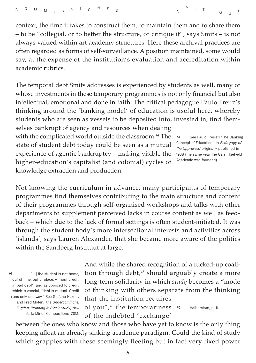context, the time it takes to construct them, to maintain them and to share them – to be "collegial, or to better the structure, or critique it", says Smits – is not always valued within art academy structures. Here these archival practices are often regarded as forms of self-surveillance. A position maintained, some would say, at the expense of the institution's evaluation and accreditation within academic rubrics.

The temporal debt Smits addresses is experienced by students as well, many of whose investments in these temporary programmes is not only financial but also intellectual, emotional and done in faith. The critical pedagogue Paulo Freire's thinking around the 'banking model' of education is useful here, whereby students who are seen as vessels to be deposited into, invested in, find themselves bankrupt of agency and resources when dealing

with the complicated world outside the classroom.*<sup>14</sup>* The state of student debt today could be seen as a mutual experience of agentic bankruptcy – making visible the higher-education's capitalist (and colonial) cycles of knowledge extraction and production.

*14* **See Paulo Freire's 'The Banking Concept of Education', in** *Pedagogy of the Oppressed* **originally published in 1968 (the same year the Gerrit Rietveld Academie was founded).**

Not knowing the curriculum in advance, many participants of temporary programmes find themselves contributing to the main structure and content of their programmes through self-organised workshops and talks with other departments to supplement perceived lacks in course content as well as feedback – which due to the lack of formal settings is often student-initiated. It was through the student body's more intersectional interests and activities across 'islands', says Lauren Alexander, that she became more aware of the politics within the Sandberg Instituut at large.

And while the shared recognition of a fucked-up coalition through debt,*<sup>15</sup>* should arguably create a more long-term solidarity in which *study* becomes a "mode of thinking with others separate from the thinking that the institution requires

of you",*<sup>16</sup>* the temporariness of the indebted 'exchange' *16* **Halberstam, p. 11.**

between the ones who know and those who have yet to know is the only thing keeping afloat an already sinking academic paradigm. Could the kind of study which grapples with these seemingly fleeting but in fact very fixed power

*<sup>15</sup>* **"[…] the student is not home, out of time, out of place, without credit, in bad debt", and as opposed to credit, which is asocial, "debt is mutual. Credit runs only one way." See Stefano Harney and Fred Moten,** *The Undercommons: Fugitive Planning & Black Study***, New York: Minor Compositions, 2013.**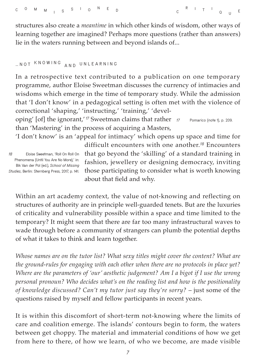structures also create a *meantime* in which other kinds of wisdom, other ways of learning together are imagined? Perhaps more questions (rather than answers) lie in the waters running between and beyond islands of...

## **…NOT KNOWING AND UNLEARNING**

In a retrospective text contributed to a publication on one temporary programme, author Eloise Sweetman discusses the currency of intimacies and wisdoms which emerge in the time of temporary study. While the admission that 'I don't know' in a pedagogical setting is often met with the violence of correctional 'shaping,' 'instructing,' 'training,' 'devel-

oping' [of] the ignorant,' *<sup>17</sup>* Sweetman claims that rather than 'Mastering' in the process of acquiring a Masters, *17* **Pomarico (note 1), p. 209.**

'I don't know' is an 'appeal for intimacy' which opens up space and time for

*18* **Eloise Sweetman, 'Roll On Roll On Phenomena (Until You Are No More),' in: Bik Van der Pol (ed.),** *School of Missing Studies***, Berlin: Sternberg Press, 2017, p. 141.** difficult encounters with one another.*<sup>18</sup>* Encounters that go beyond the 'skilling' of a standard training in fashion, jewellery or designing democracy, inviting those participating to consider what is worth knowing about that field and why.

Within an art academy context, the value of not-knowing and reflecting on structures of authority are in principle well-guarded tenets. But are the luxuries of criticality and vulnerability possible within a space and time limited to the temporary? It might seem that there are far too many infrastructural waves to wade through before a community of strangers can plumb the potential depths of what it takes to think and learn together.

*Whose names are on the tutor list? What sexy titles might cover the content? What are the ground-rules for engaging with each other when there are no protocols in place yet? Where are the parameters of 'our' aesthetic judgement? Am I a bigot if I use the wrong personal pronoun? Who decides what's on the reading list and how is the positionality of knowledge discussed? Can't my tutor just say they're sorry?* – just some of the questions raised by myself and fellow participants in recent years.

It is within this discomfort of short-term not-knowing where the limits of care and coalition emerge. The islands' contours begin to form, the waters between get choppy. The material and immaterial conditions of how we get from here to there, of how we learn, of who we become, are made visible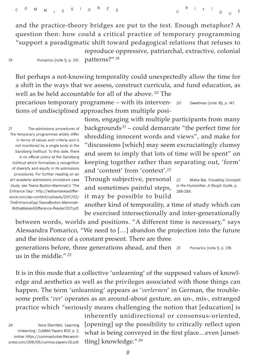**<sup>C</sup> <sup>O</sup> <sup>M</sup> <sup>M</sup> <sup>I</sup> <sup>S</sup> <sup>S</sup> <sup>I</sup> <sup>O</sup> <sup>N</sup> <sup>E</sup> <sup>D</sup>         <sup>C</sup>**

and the practice-theory bridges are put to the test. Enough metaphor? A question then: how could a critical practice of temporary programming "support a paradigmatic shift toward pedagogical relations that refuses to reproduce oppressive, patriarchal, extractive, colonial patterns?" *<sup>19</sup> 19* **Pomarico (note 1), p. 210.**

But perhaps a not-knowing temporality could unexpectedly allow the time for a shift in the ways that we assess, construct curricula, and fund education, as well as be held accountable for all of the above. *<sup>20</sup>* The precarious temporary programme – with its interventions of undisciplined approaches from multiple posi-*20* **Sweetman (note 18), p. 147.**

*21* **The admissions procedures of the temporary programmes widely differ in terms of values and criteria and is not monitored by a single body in the Sandberg Instituut. To this date, there is no official policy at the Sandberg Instituut which formalises a recognition of diversity and equity in its admissions procedures. For further reading on an art academy admissions procedure case study, see Teana Boston-Mammah's 'The Entrance Gap': [http://wdkamakesadiffer](http://wdkamakesadifference.com/wp-content/uploads/2017/02/TheEntranceGap-TeanaBoston-Mammah-WdKaMakesADifference-Reader2017.pdf)[ence.com/wp-content/uploads/2017/02/](http://wdkamakesadifference.com/wp-content/uploads/2017/02/TheEntranceGap-TeanaBoston-Mammah-WdKaMakesADifference-Reader2017.pdf) [TheEntranceGap-TeanaBoston-Mammah-](http://wdkamakesadifference.com/wp-content/uploads/2017/02/TheEntranceGap-TeanaBoston-Mammah-WdKaMakesADifference-Reader2017.pdf)[WdKaMakesADifference-Reader2017.pdf.](http://wdkamakesadifference.com/wp-content/uploads/2017/02/TheEntranceGap-TeanaBoston-Mammah-WdKaMakesADifference-Reader2017.pdf)**

tions, engaging with multiple participants from many backgrounds *<sup>21</sup>* – could demarcate "the perfect time for shredding innocent words and views", and make for "discussions [which] may seem excruciatingly clumsy and seem to imply that lots of time will be spent" on keeping together rather than separating out, 'form' and 'content' from 'context'.*<sup>22</sup>*

Through subjective, personal and sometimes painful steps, it may be possible to build

*22* **Mieke Bal,** *Travelling Concepts in the Humanities: A Rough Guide***, p. 288-289.**

**<sup>R</sup> <sup>I</sup> <sup>T</sup> <sup>I</sup>**

**<sup>Q</sup> <sup>U</sup> <sup>E</sup>**

another kind of temporality, a time of study which can be exercised intersectionally and inter-generationally

between words, worlds and positions. "A different time is necessary," says Alessandra Pomarico, "We need to […] abandon the projection into the future and the insistence of a constant present. There are three

generations before, three generations ahead, and then us in the middle." *<sup>23</sup> 23* **Pomarico (note 1), p. 218.**

It is in this mode that a collective 'unlearning' of the supposed values of knowledge and aesthetics as well as the privileges associated with those things can happen. The term 'unlearning' appears as '*verlernen*' in German, the troublesome prefix '*ver*' operates as an around-about gesture, an un-, mis-, estranged practice which "seriously means challenging the notion that [education] is

*24* **Nora Sternfeld, 'Learning Unlearning', CuMMA Papers #20, p. 2, online: [https://cummastudies.files.word](https://cummastudies.files.wordpress.com/2016/09/cumma-papers-20.pdf)[press.com/2016/09/cumma-papers-20.pdf.](https://cummastudies.files.wordpress.com/2016/09/cumma-papers-20.pdf)** inherently unidirectional or consensus-oriented, [opening] up the possibility to critically reflect upon what is being conveyed in the first place…even [unsettling] knowledge." *<sup>24</sup>*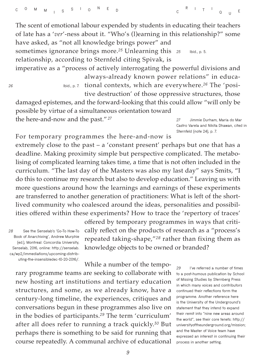The scent of emotional labour expended by students in educating their teachers of late has a '*ver*'-ness about it. "Who's (l)earning in this relationship?" some have asked, as "not all knowledge brings power" and

sometimes ignorance brings more.*<sup>25</sup>* Unlearning this *25* **Ibid., p. 5.**

relationship, according to Sternfeld citing Spivak, is

imperative as a "process of actively interrogating the powerful divisions and always-already known power relations" in educa-

tional contexts, which are everywhere.*26* The 'posi-*26* **Ibid., p. 7.** tive destruction' of those oppressive structures, those damaged epistemes, and the forward-looking that this could allow "will only be

possible by virtue of a simultaneous orientation toward the here-and-now and the past." *<sup>27</sup> 27* **Jimmie Durham, María do Mar** 

**Castro Varela and Nikita Dhawan, cited in Sternfeld (note 24), p. 7.**

For temporary programmes the here-and-now is

extremely close to the past – a 'constant present' perhaps but one that has a deadline. Making proximity simple but perspective complicated. The metabolising of complicated learning takes time, a time that is not often included in the curriculum. "The last day of the Masters was also my last day" says Smits, "I do this to continue my research but also to develop education." Leaving us with more questions around how the learnings and earnings of these experiments are transferred to another generation of practitioners: What is left of the shortlived community who coalesced around the ideas, personalities and possibilities offered within these experiments? How to trace the 'repertory of traces'

*28* **See the Senselab's 'Go-To How-To Book of Anarchiving', Andrew Murphie (ed.), Montreal: Concordia University, Senselab, 2016, online: [http://senselab.](http://senselab.ca/wp2/immediations/upcoming-distributing-the-insensible-dec-10-20-2016/the-go-to-how-to-guide-to-anarchiving/) [ca/wp2/immediations/upcoming-distrib](http://senselab.ca/wp2/immediations/upcoming-distributing-the-insensible-dec-10-20-2016/the-go-to-how-to-guide-to-anarchiving/)[uting-the-insensibledec-10-20-2016/.](http://senselab.ca/wp2/immediations/upcoming-distributing-the-insensible-dec-10-20-2016/the-go-to-how-to-guide-to-anarchiving/)** offered by temporary programmes in ways that critically reflect on the products of research as a "process's repeated taking-shape,"*<sup>28</sup>* rather than fixing them as knowledge objects to be owned or branded?

While a number of the temporary programme teams are seeking to collaborate with new hosting art institutions and tertiary education structures, and some, as we already know, have a century-long timeline, the experiences, critiques and conversations begun in these programmes also live on in the bodies of participants.*<sup>29</sup>* The term 'curriculum' after all does refer to running a track quickly.*<sup>30</sup>* But perhaps there is something to be said for running that course repeatedly. A communal archive of educational

*29* **I've referred a number of times to a post-humous publication by School of Missing Studies by Sternberg Press in which many voices and contributors continued their reflections form the programme. Another reference here is the University of the Underground's statement that they intend to expand their remit into "nine new areas around the world", see their core tenets: [http://](http://universityoftheunderground.org/mission) [universityoftheunderground.org/mission;](http://universityoftheunderground.org/mission) and the Master of Voice team have expressed an interest in continuing their process in another setting.**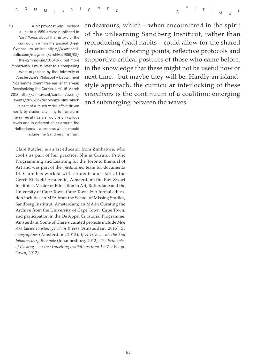*30* **A bit provocatively, I include a link to a 1859 article published in**  *The Atlantic* **about the history of the curriculum within the ancient Greek Gymnasium, online: [https://www.theat](https://www.theatlantic.com/magazine/archive/1859/05/the-gymnasium/305407/)[lantic.com/magazine/archive/1859/05/](https://www.theatlantic.com/magazine/archive/1859/05/the-gymnasium/305407/) [the-gymnasium/305407/;](https://www.theatlantic.com/magazine/archive/1859/05/the-gymnasium/305407/) but more importantly, I must refer to a compelling event organised by the University of Amsterdam's Philosophy Department Programme Committee earlier this year, 'Decolonizing the Curriculum', 16 March 2018, [http://aihr.uva.nl/content/events/](https://aihr.uva.nl/content/events/events/2018/03/decolonize.html) [events/2018/03/decolonize.html](https://aihr.uva.nl/content/events/events/2018/03/decolonize.html) which is part of a much wider effort driven mostly by students, aiming to transform the university as a structure on various levels and in different cities around the Netherlands – a process which should include the Sandberg Instituut.**

endeavours, which – when encountered in the spirit of the unlearning Sandberg Instituut, rather than reproducing (bad) habits – could allow for the shared demarcation of resting points, reflective protocols and supportive critical postures of those who came before, in the knowledge that these might not be useful now or next time…but maybe they will be. Hardly an islandstyle approach, the curricular interlocking of these *meantimes* is the continuum of a coalition: emerging and submerging between the waves.

Clare Butcher is an art educator from Zimbabwe, who cooks as part of her practice. She is Curator Public Programming and Learning for the Toronto Biennial of Art and was part of the *aneducation* team for documenta 14. Clare has worked with students and staff at the Gerrit Rietveld Academie, Amsterdam; the Piet Zwart Institute's Master of Education in Art, Rotterdam; and the University of Cape Town, Cape Town. Her formal education includes an MFA from the School of Missing Studies, Sandberg Instituut, Amsterdam; an MA in Curating the Archive from the University of Cape Town, Cape Town; and participation in the De Appel Curatorial Programme, Amsterdam. Some of Clare's curated projects include *Men Are Easier to Manage Than Rivers* (Amsterdam, 2015), *Sc enographies* (Amsterdam, 2013), *If A Tree…– on the 2nd Johannesburg Biennale* (Johannesburg, 2012), *The Principles of Packing – on two travelling exhibitions from 1947-9* (Cape Town, 2012).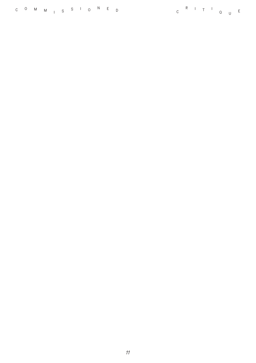|  |  |  |  |  |  |  |  |  | C <sup>O</sup> M <sub>M I</sub> S <sup>S</sup> I O <sup>N</sup> E <sub>D</sub> |  |  | C R I T I Q U E |  |  |  |  |  |  |  |
|--|--|--|--|--|--|--|--|--|--------------------------------------------------------------------------------|--|--|-----------------|--|--|--|--|--|--|--|
|--|--|--|--|--|--|--|--|--|--------------------------------------------------------------------------------|--|--|-----------------|--|--|--|--|--|--|--|